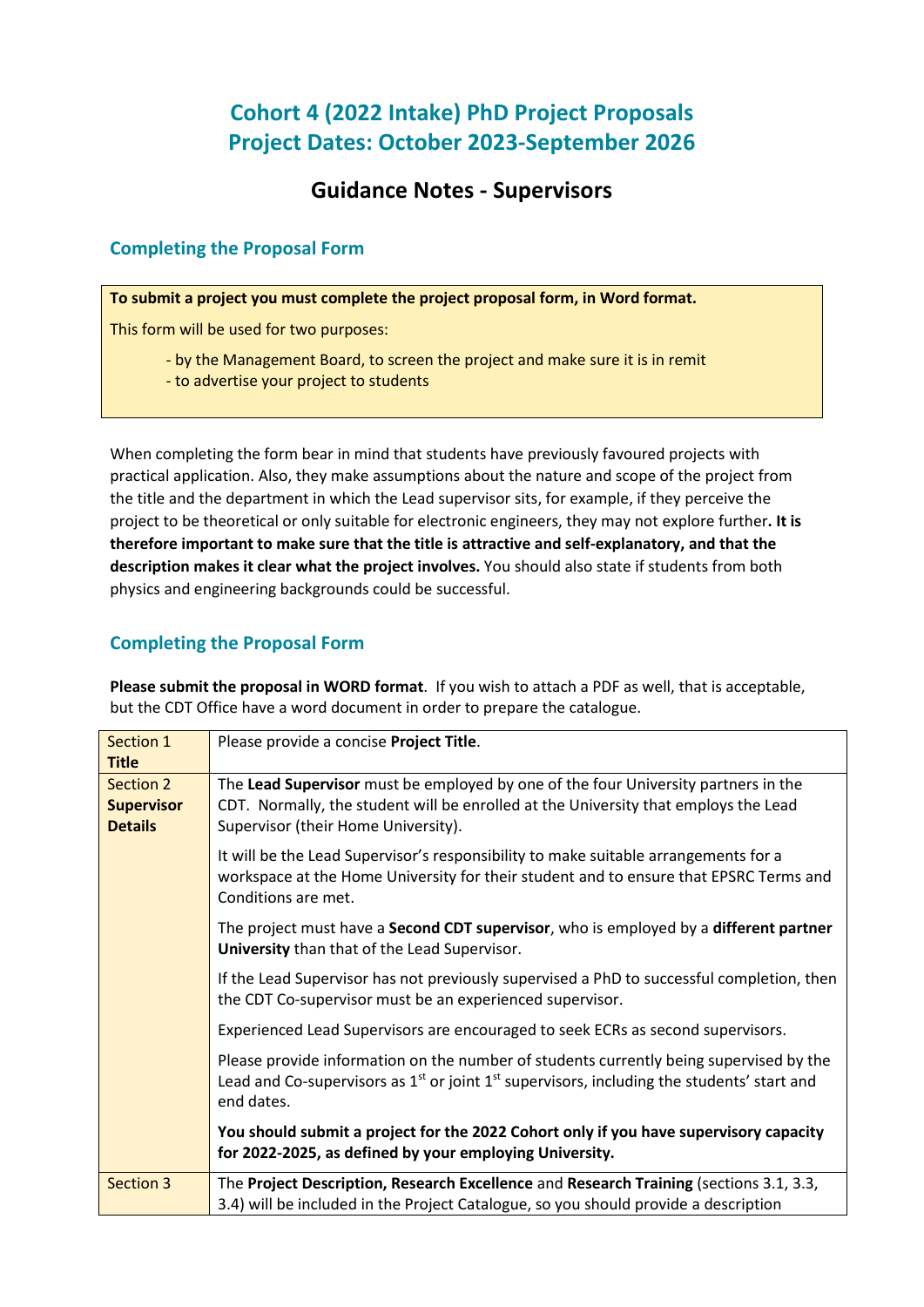# **Cohort 4 (2022 Intake) PhD Project Proposals Project Dates: October 2023-September 2026**

## **Guidance Notes - Supervisors**

## **Completing the Proposal Form**

**To submit a project you must complete the project proposal form, in Word format.** 

This form will be used for two purposes:

- by the Management Board, to screen the project and make sure it is in remit
- to advertise your project to students

When completing the form bear in mind that students have previously favoured projects with practical application. Also, they make assumptions about the nature and scope of the project from the title and the department in which the Lead supervisor sits, for example, if they perceive the project to be theoretical or only suitable for electronic engineers, they may not explore further**. It is therefore important to make sure that the title is attractive and self-explanatory, and that the description makes it clear what the project involves.** You should also state if students from both physics and engineering backgrounds could be successful.

## **Completing the Proposal Form**

| Section 1<br><b>Title</b>                               | Please provide a concise Project Title.                                                                                                                                                                          |
|---------------------------------------------------------|------------------------------------------------------------------------------------------------------------------------------------------------------------------------------------------------------------------|
| <b>Section 2</b><br><b>Supervisor</b><br><b>Details</b> | The Lead Supervisor must be employed by one of the four University partners in the<br>CDT. Normally, the student will be enrolled at the University that employs the Lead<br>Supervisor (their Home University). |
|                                                         | It will be the Lead Supervisor's responsibility to make suitable arrangements for a<br>workspace at the Home University for their student and to ensure that EPSRC Terms and<br>Conditions are met.              |
|                                                         | The project must have a Second CDT supervisor, who is employed by a different partner<br>University than that of the Lead Supervisor.                                                                            |
|                                                         | If the Lead Supervisor has not previously supervised a PhD to successful completion, then<br>the CDT Co-supervisor must be an experienced supervisor.                                                            |
|                                                         | Experienced Lead Supervisors are encouraged to seek ECRs as second supervisors.                                                                                                                                  |
|                                                         | Please provide information on the number of students currently being supervised by the<br>Lead and Co-supervisors as $1st$ or joint $1st$ supervisors, including the students' start and<br>end dates.           |
|                                                         | You should submit a project for the 2022 Cohort only if you have supervisory capacity<br>for 2022-2025, as defined by your employing University.                                                                 |
| <b>Section 3</b>                                        | The Project Description, Research Excellence and Research Training (sections 3.1, 3.3,<br>3.4) will be included in the Project Catalogue, so you should provide a description                                    |

**Please submit the proposal in WORD format**. If you wish to attach a PDF as well, that is acceptable, but the CDT Office have a word document in order to prepare the catalogue.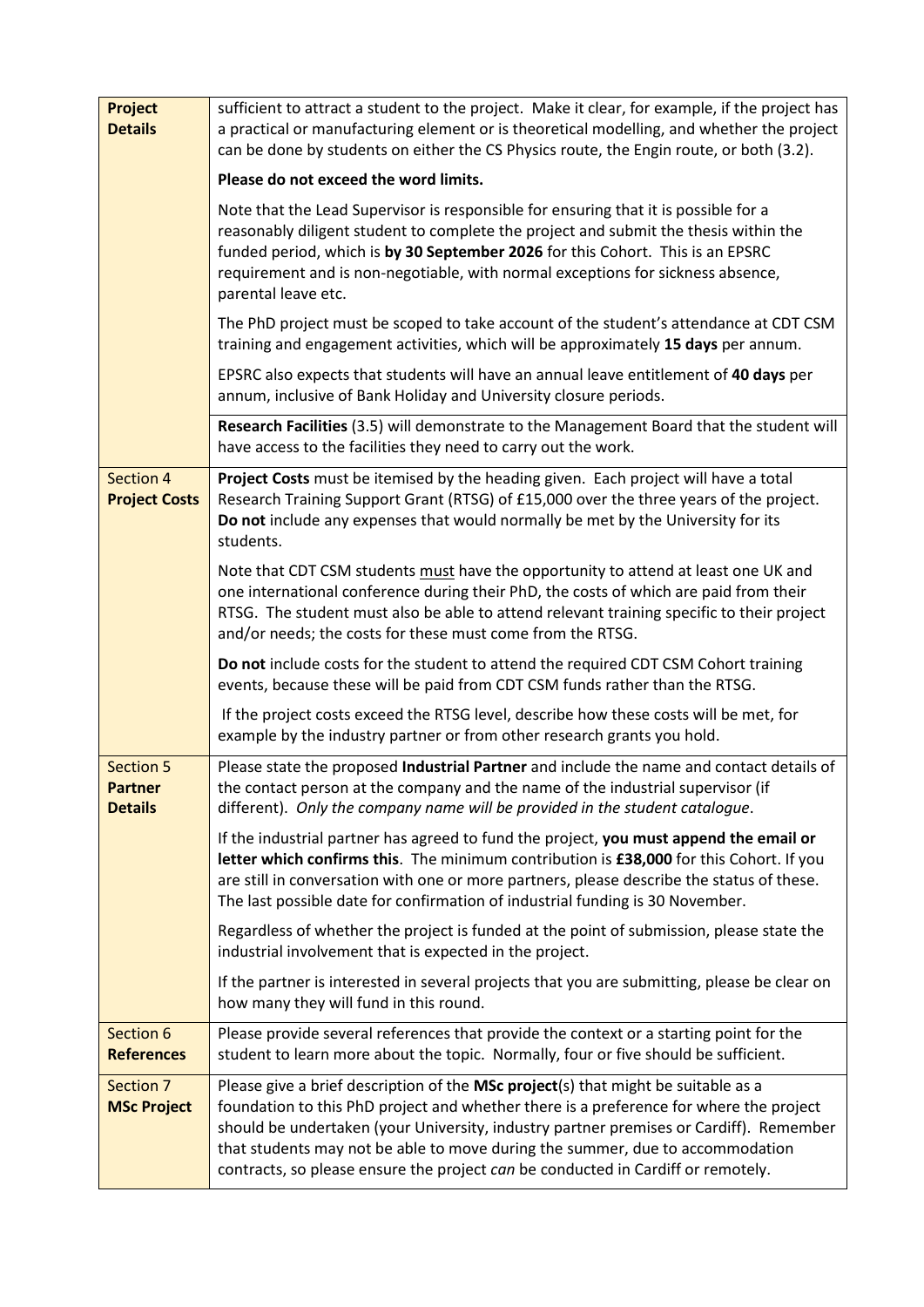| <b>Project</b><br><b>Details</b>                     | sufficient to attract a student to the project. Make it clear, for example, if the project has<br>a practical or manufacturing element or is theoretical modelling, and whether the project<br>can be done by students on either the CS Physics route, the Engin route, or both (3.2).                                                                                                                                                     |
|------------------------------------------------------|--------------------------------------------------------------------------------------------------------------------------------------------------------------------------------------------------------------------------------------------------------------------------------------------------------------------------------------------------------------------------------------------------------------------------------------------|
|                                                      | Please do not exceed the word limits.                                                                                                                                                                                                                                                                                                                                                                                                      |
|                                                      | Note that the Lead Supervisor is responsible for ensuring that it is possible for a<br>reasonably diligent student to complete the project and submit the thesis within the<br>funded period, which is by 30 September 2026 for this Cohort. This is an EPSRC<br>requirement and is non-negotiable, with normal exceptions for sickness absence,<br>parental leave etc.                                                                    |
|                                                      | The PhD project must be scoped to take account of the student's attendance at CDT CSM<br>training and engagement activities, which will be approximately 15 days per annum.                                                                                                                                                                                                                                                                |
|                                                      | EPSRC also expects that students will have an annual leave entitlement of 40 days per<br>annum, inclusive of Bank Holiday and University closure periods.                                                                                                                                                                                                                                                                                  |
|                                                      | Research Facilities (3.5) will demonstrate to the Management Board that the student will<br>have access to the facilities they need to carry out the work.                                                                                                                                                                                                                                                                                 |
| Section 4<br><b>Project Costs</b>                    | Project Costs must be itemised by the heading given. Each project will have a total<br>Research Training Support Grant (RTSG) of £15,000 over the three years of the project.<br>Do not include any expenses that would normally be met by the University for its<br>students.                                                                                                                                                             |
|                                                      | Note that CDT CSM students must have the opportunity to attend at least one UK and<br>one international conference during their PhD, the costs of which are paid from their<br>RTSG. The student must also be able to attend relevant training specific to their project<br>and/or needs; the costs for these must come from the RTSG.                                                                                                     |
|                                                      | Do not include costs for the student to attend the required CDT CSM Cohort training<br>events, because these will be paid from CDT CSM funds rather than the RTSG.                                                                                                                                                                                                                                                                         |
|                                                      | If the project costs exceed the RTSG level, describe how these costs will be met, for<br>example by the industry partner or from other research grants you hold.                                                                                                                                                                                                                                                                           |
| <b>Section 5</b><br><b>Partner</b><br><b>Details</b> | Please state the proposed Industrial Partner and include the name and contact details of<br>the contact person at the company and the name of the industrial supervisor (if<br>different). Only the company name will be provided in the student catalogue.                                                                                                                                                                                |
|                                                      | If the industrial partner has agreed to fund the project, you must append the email or<br>letter which confirms this. The minimum contribution is £38,000 for this Cohort. If you<br>are still in conversation with one or more partners, please describe the status of these.<br>The last possible date for confirmation of industrial funding is 30 November.                                                                            |
|                                                      | Regardless of whether the project is funded at the point of submission, please state the<br>industrial involvement that is expected in the project.                                                                                                                                                                                                                                                                                        |
|                                                      | If the partner is interested in several projects that you are submitting, please be clear on<br>how many they will fund in this round.                                                                                                                                                                                                                                                                                                     |
| Section 6<br><b>References</b>                       | Please provide several references that provide the context or a starting point for the<br>student to learn more about the topic. Normally, four or five should be sufficient.                                                                                                                                                                                                                                                              |
| Section 7<br><b>MSc Project</b>                      | Please give a brief description of the MSc project(s) that might be suitable as a<br>foundation to this PhD project and whether there is a preference for where the project<br>should be undertaken (your University, industry partner premises or Cardiff). Remember<br>that students may not be able to move during the summer, due to accommodation<br>contracts, so please ensure the project can be conducted in Cardiff or remotely. |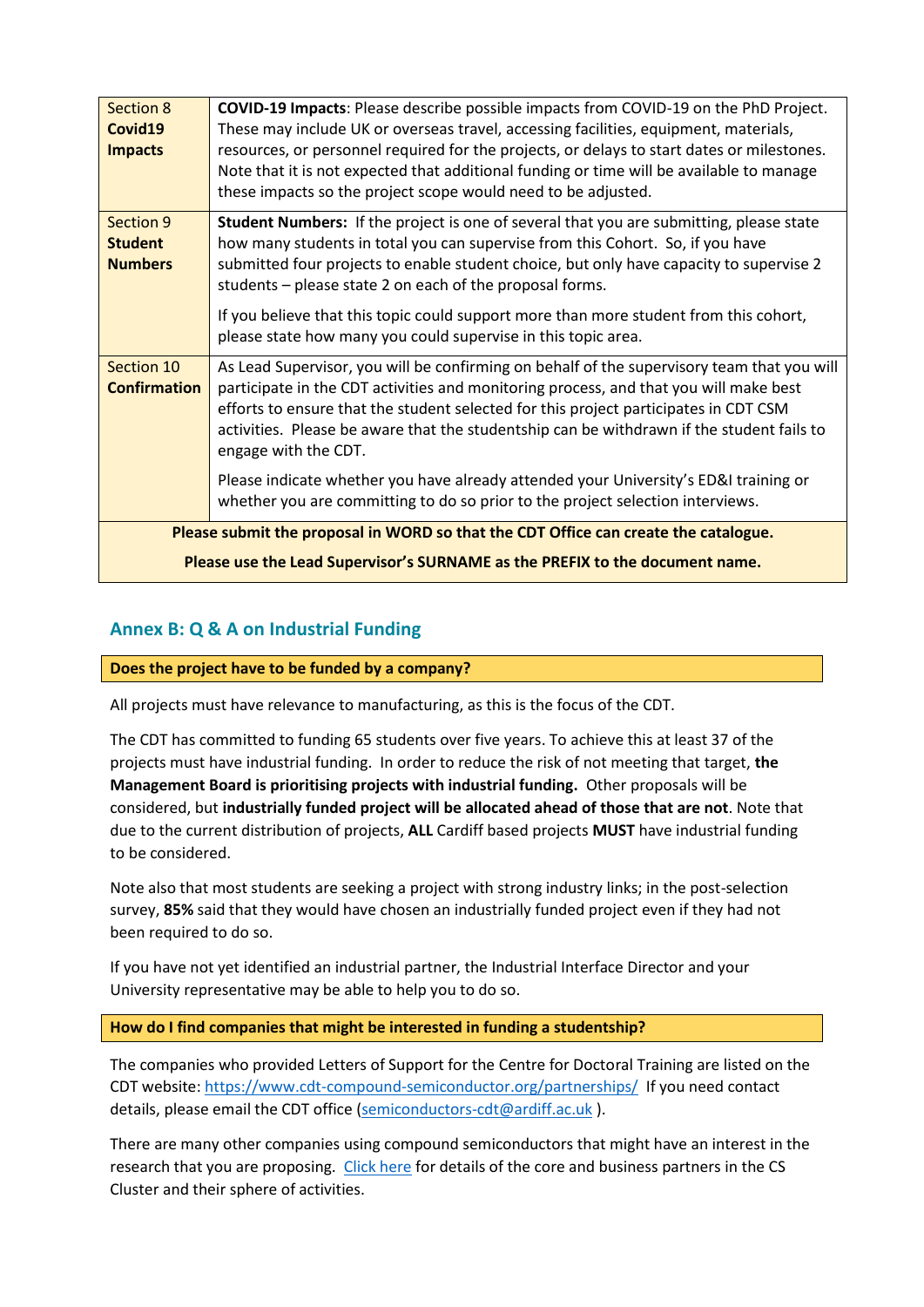| Section 8<br>Covid19<br><b>Impacts</b>                                              | COVID-19 Impacts: Please describe possible impacts from COVID-19 on the PhD Project.<br>These may include UK or overseas travel, accessing facilities, equipment, materials,<br>resources, or personnel required for the projects, or delays to start dates or milestones.<br>Note that it is not expected that additional funding or time will be available to manage<br>these impacts so the project scope would need to be adjusted. |  |
|-------------------------------------------------------------------------------------|-----------------------------------------------------------------------------------------------------------------------------------------------------------------------------------------------------------------------------------------------------------------------------------------------------------------------------------------------------------------------------------------------------------------------------------------|--|
| Section 9<br><b>Student</b><br><b>Numbers</b>                                       | Student Numbers: If the project is one of several that you are submitting, please state<br>how many students in total you can supervise from this Cohort. So, if you have<br>submitted four projects to enable student choice, but only have capacity to supervise 2<br>students – please state 2 on each of the proposal forms.                                                                                                        |  |
|                                                                                     | If you believe that this topic could support more than more student from this cohort,<br>please state how many you could supervise in this topic area.                                                                                                                                                                                                                                                                                  |  |
| Section 10<br><b>Confirmation</b>                                                   | As Lead Supervisor, you will be confirming on behalf of the supervisory team that you will<br>participate in the CDT activities and monitoring process, and that you will make best<br>efforts to ensure that the student selected for this project participates in CDT CSM<br>activities. Please be aware that the studentship can be withdrawn if the student fails to<br>engage with the CDT.                                        |  |
|                                                                                     | Please indicate whether you have already attended your University's ED&I training or<br>whether you are committing to do so prior to the project selection interviews.                                                                                                                                                                                                                                                                  |  |
| Please submit the proposal in WORD so that the CDT Office can create the catalogue. |                                                                                                                                                                                                                                                                                                                                                                                                                                         |  |
| Please use the Lead Supervisor's SURNAME as the PREFIX to the document name.        |                                                                                                                                                                                                                                                                                                                                                                                                                                         |  |

## **Annex B: Q & A on Industrial Funding**

## **Does the project have to be funded by a company?**

All projects must have relevance to manufacturing, as this is the focus of the CDT.

The CDT has committed to funding 65 students over five years. To achieve this at least 37 of the projects must have industrial funding. In order to reduce the risk of not meeting that target, **the Management Board is prioritising projects with industrial funding.** Other proposals will be considered, but **industrially funded project will be allocated ahead of those that are not**. Note that due to the current distribution of projects, **ALL** Cardiff based projects **MUST** have industrial funding to be considered.

Note also that most students are seeking a project with strong industry links; in the post-selection survey, **85%** said that they would have chosen an industrially funded project even if they had not been required to do so.

If you have not yet identified an industrial partner, the Industrial Interface Director and your University representative may be able to help you to do so.

#### **How do I find companies that might be interested in funding a studentship?**

The companies who provided Letters of Support for the Centre for Doctoral Training are listed on the CDT website:<https://www.cdt-compound-semiconductor.org/partnerships/>If you need contact details, please email the CDT office [\(semiconductors-cdt@ardiff.ac.uk](mailto:semiconductors-cdt@ardiff.ac.uk)).

There are many other companies using compound semiconductors that might have an interest in the research that you are proposing. [Click here](https://csconnected.com/clusterprofile/) for details of the core and business partners in the CS Cluster and their sphere of activities.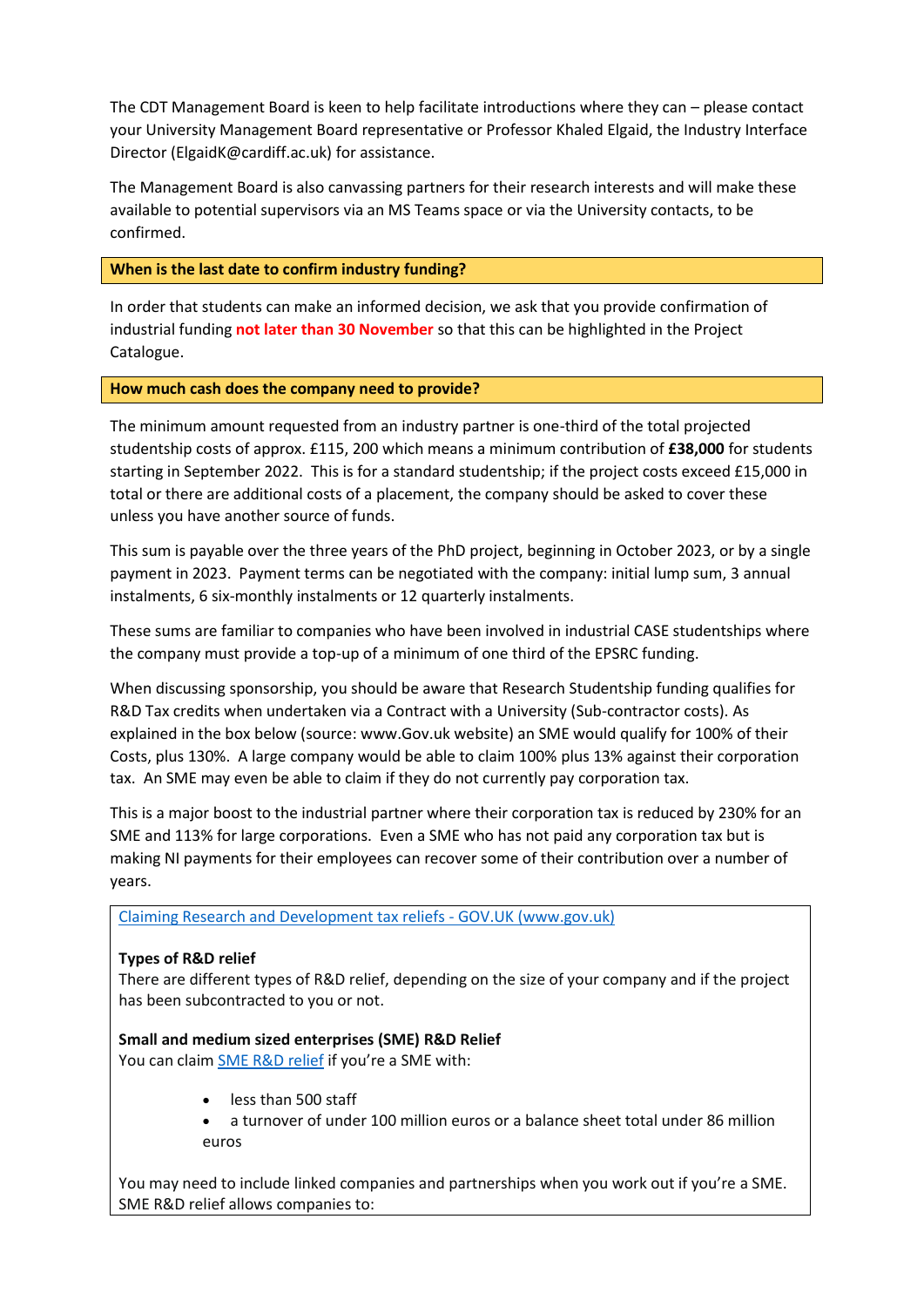The CDT Management Board is keen to help facilitate introductions where they can – please contact your University Management Board representative or Professor Khaled Elgaid, the Industry Interface Director (ElgaidK@cardiff.ac.uk) for assistance.

The Management Board is also canvassing partners for their research interests and will make these available to potential supervisors via an MS Teams space or via the University contacts, to be confirmed.

**When is the last date to confirm industry funding?**

In order that students can make an informed decision, we ask that you provide confirmation of industrial funding **not later than 30 November** so that this can be highlighted in the Project Catalogue.

**How much cash does the company need to provide?** 

The minimum amount requested from an industry partner is one-third of the total projected studentship costs of approx. £115, 200 which means a minimum contribution of **£38,000** for students starting in September 2022. This is for a standard studentship; if the project costs exceed £15,000 in total or there are additional costs of a placement, the company should be asked to cover these unless you have another source of funds.

This sum is payable over the three years of the PhD project, beginning in October 2023, or by a single payment in 2023. Payment terms can be negotiated with the company: initial lump sum, 3 annual instalments, 6 six-monthly instalments or 12 quarterly instalments.

These sums are familiar to companies who have been involved in industrial CASE studentships where the company must provide a top-up of a minimum of one third of the EPSRC funding.

When discussing sponsorship, you should be aware that Research Studentship funding qualifies for R&D Tax credits when undertaken via a Contract with a University (Sub-contractor costs). As explained in the box below (source: www.Gov.uk website) an SME would qualify for 100% of their Costs, plus 130%. A large company would be able to claim 100% plus 13% against their corporation tax. An SME may even be able to claim if they do not currently pay corporation tax.

This is a major boost to the industrial partner where their corporation tax is reduced by 230% for an SME and 113% for large corporations. Even a SME who has not paid any corporation tax but is making NI payments for their employees can recover some of their contribution over a number of years.

Claiming Research and Development tax reliefs - GOV.UK (www.gov.uk)

## **Types of R&D relief**

There are different types of R&D relief, depending on the size of your company and if the project has been subcontracted to you or not.

## **Small and medium sized enterprises (SME) R&D Relief**

You can claim SME R&D [relief](https://eur03.safelinks.protection.outlook.com/?url=https%3A%2F%2Fwww.gov.uk%2Fguidance%2Fcorporation-tax-research-and-development-tax-relief-for-small-and-medium-sized-enterprises&data=04%7C01%7Csemiconductors-cdt%40cardiff.ac.uk%7C6d2d307b09d0487c8edc08da16f5ec3e%7Cbdb74b3095684856bdbf06759778fcbc%7C1%7C0%7C637847542719326708%7CUnknown%7CTWFpbGZsb3d8eyJWIjoiMC4wLjAwMDAiLCJQIjoiV2luMzIiLCJBTiI6Ik1haWwiLCJXVCI6Mn0%3D%7C3000&sdata=u9pAqTDUrBI5Xq46K3%2Fc9HsTr0fotI53wgKxwiw5cwk%3D&reserved=0) if you're a SME with:

- less than 500 staff
- a turnover of under 100 million euros or a balance sheet total under 86 million euros

You may need to include linked companies and partnerships when you work out if you're a SME. SME R&D relief allows companies to: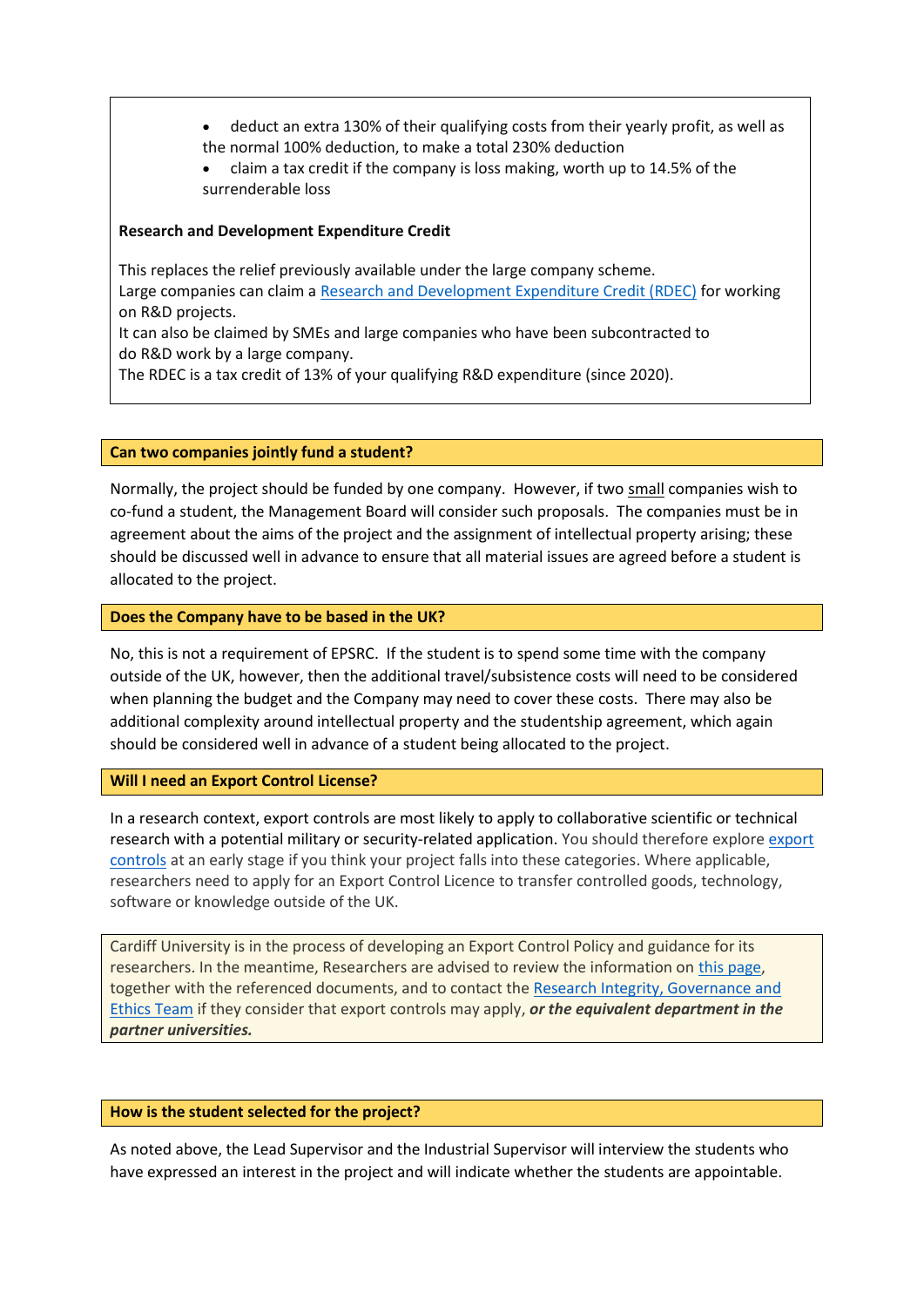- deduct an extra 130% of their qualifying costs from their yearly profit, as well as the normal 100% deduction, to make a total 230% deduction
- claim a tax credit if the company is loss making, worth up to 14.5% of the surrenderable loss

## **Research and Development Expenditure Credit**

This replaces the relief previously available under the large company scheme. Large companies can claim a [Research and Development Expenditure Credit \(RDEC\)](https://eur03.safelinks.protection.outlook.com/?url=https%3A%2F%2Fwww.gov.uk%2Fguidance%2Fcorporation-tax-research-and-development-tax-relief-for-large-companies&data=04%7C01%7Csemiconductors-cdt%40cardiff.ac.uk%7C6d2d307b09d0487c8edc08da16f5ec3e%7Cbdb74b3095684856bdbf06759778fcbc%7C1%7C0%7C637847542719326708%7CUnknown%7CTWFpbGZsb3d8eyJWIjoiMC4wLjAwMDAiLCJQIjoiV2luMzIiLCJBTiI6Ik1haWwiLCJXVCI6Mn0%3D%7C3000&sdata=l3iTn6tJF8lgURcdmGZxlKGNU7S%2BGAvBdOvaEz5pTSE%3D&reserved=0) for working on R&D projects.

It can also be claimed by SMEs and large companies who have been subcontracted to do R&D work by a large company.

The RDEC is a tax credit of 13% of your qualifying R&D expenditure (since 2020).

### **Can two companies jointly fund a student?**

Normally, the project should be funded by one company. However, if two small companies wish to co-fund a student, the Management Board will consider such proposals. The companies must be in agreement about the aims of the project and the assignment of intellectual property arising; these should be discussed well in advance to ensure that all material issues are agreed before a student is allocated to the project.

### **Does the Company have to be based in the UK?**

No, this is not a requirement of EPSRC. If the student is to spend some time with the company outside of the UK, however, then the additional travel/subsistence costs will need to be considered when planning the budget and the Company may need to cover these costs. There may also be additional complexity around intellectual property and the studentship agreement, which again should be considered well in advance of a student being allocated to the project.

#### **Will I need an Export Control License?**

In a research context, export controls are most likely to apply to collaborative scientific or technical research with a potential military or security-related application. You should therefore explore [export](https://www.gov.uk/government/organisations/export-control-organisation)  [controls](https://www.gov.uk/government/organisations/export-control-organisation) at an early stage if you think your project falls into these categories. Where applicable, researchers need to apply for an Export Control Licence to transfer controlled goods, technology, software or knowledge outside of the UK.

Cardiff University is in the process of developing an Export Control Policy and guidance for its researchers. In the meantime, Researchers are advised to review the information on [this page,](https://intranet.cardiff.ac.uk/staff/supporting-your-work/research-support/research-integrity-and-governance/export-controls-and-sanctions) together with the referenced documents, and to contact the [Research Integrity, Governance and](https://intranet.cardiff.ac.uk/staff/people-and-teams/view/51747-research-governance)  [Ethics Team](https://intranet.cardiff.ac.uk/staff/people-and-teams/view/51747-research-governance) if they consider that export controls may apply, *or the equivalent department in the partner universities.*

#### **How is the student selected for the project?**

As noted above, the Lead Supervisor and the Industrial Supervisor will interview the students who have expressed an interest in the project and will indicate whether the students are appointable.